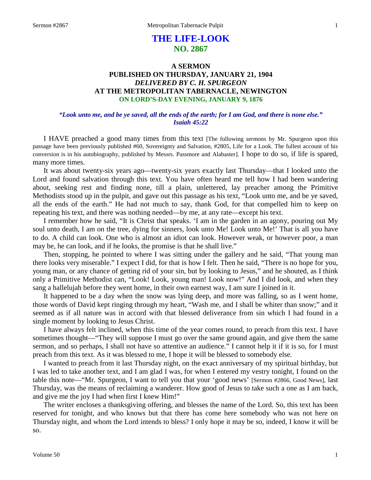# **THE LIFE-LOOK NO. 2867**

## **A SERMON PUBLISHED ON THURSDAY, JANUARY 21, 1904** *DELIVERED BY C. H. SPURGEON* **AT THE METROPOLITAN TABERNACLE, NEWINGTON ON LORD'S-DAY EVENING, JANUARY 9, 1876**

#### *"Look unto me, and be ye saved, all the ends of the earth; for I am God, and there is none else." Isaiah 45:22*

I HAVE preached a good many times from this text [The following sermons by Mr. Spurgeon upon this passage have been previously published #60, Sovereignty and Salvation, #2805, Life for a Look. The fullest account of his conversion is in his autobiography, published by Messrs. Passmore and Alabaster]. I hope to do so, if life is spared, many more times.

It was about twenty-six years ago—twenty-six years exactly last Thursday—that I looked unto the Lord and found salvation through this text. You have often heard me tell how I had been wandering about, seeking rest and finding none, till a plain, unlettered, lay preacher among the Primitive Methodists stood up in the pulpit, and gave out this passage as his text, "Look unto me, and be ye saved, all the ends of the earth." He had not much to say, thank God, for that compelled him to keep on repeating his text, and there was nothing needed—by me, at any rate—except his text.

I remember how he said, "It is Christ that speaks. 'I am in the garden in an agony, pouring out My soul unto death, I am on the tree, dying for sinners, look unto Me! Look unto Me!' That is all you have to do. A child can look. One who is almost an idiot can look. However weak, or however poor, a man may be, he can look, and if he looks, the promise is that he shall live."

Then, stopping, he pointed to where I was sitting under the gallery and he said, "That young man there looks very miserable." I expect I did, for that is how I felt. Then he said, "There is no hope for you, young man, or any chance of getting rid of your sin, but by looking to Jesus," and he shouted, as I think only a Primitive Methodist can, "Look! Look, young man! Look now!" And I did look, and when they sang a hallelujah before they went home, in their own earnest way, I am sure I joined in it.

It happened to be a day when the snow was lying deep, and more was falling, so as I went home, those words of David kept ringing through my heart, "Wash me, and I shall be whiter than snow;" and it seemed as if all nature was in accord with that blessed deliverance from sin which I had found in a single moment by looking to Jesus Christ.

I have always felt inclined, when this time of the year comes round, to preach from this text. I have sometimes thought—"They will suppose I must go over the same ground again, and give them the same sermon, and so perhaps, I shall not have so attentive an audience." I cannot help it if it is so, for I must preach from this text. As it was blessed to me, I hope it will be blessed to somebody else.

I wanted to preach from it last Thursday night, on the exact anniversary of my spiritual birthday, but I was led to take another text, and I am glad I was, for when I entered my vestry tonight, I found on the table this note—"Mr. Spurgeon, I want to tell you that your 'good news' [Sermon #2866, Good News], last Thursday, was the means of reclaiming a wanderer. How good of Jesus to take such a one as I am back, and give me the joy I had when first I knew Him!"

The writer encloses a thanksgiving offering, and blesses the name of the Lord. So, this text has been reserved for tonight, and who knows but that there has come here somebody who was not here on Thursday night, and whom the Lord intends to bless? I only hope it may be so, indeed, I know it will be so.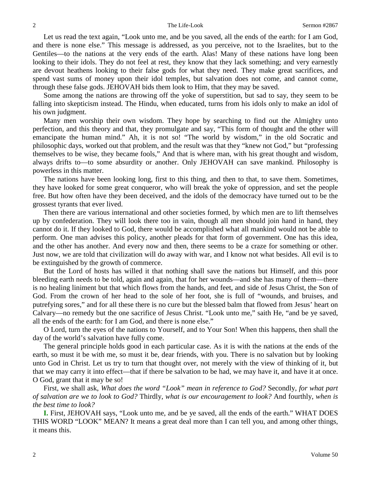Let us read the text again, "Look unto me, and be you saved, all the ends of the earth: for I am God, and there is none else." This message is addressed, as you perceive, not to the Israelites, but to the Gentiles—to the nations at the very ends of the earth. Alas! Many of these nations have long been looking to their idols. They do not feel at rest, they know that they lack something; and very earnestly are devout heathens looking to their false gods for what they need. They make great sacrifices, and spend vast sums of money upon their idol temples, but salvation does not come, and cannot come, through these false gods. JEHOVAH bids them look to Him, that they may be saved.

Some among the nations are throwing off the yoke of superstition, but sad to say, they seem to be falling into skepticism instead. The Hindu, when educated, turns from his idols only to make an idol of his own judgment.

Many men worship their own wisdom. They hope by searching to find out the Almighty unto perfection, and this theory and that, they promulgate and say, "This form of thought and the other will emancipate the human mind." Ah, it is not so! "The world by wisdom," in the old Socratic and philosophic days, worked out that problem, and the result was that they "knew not God," but "professing themselves to be wise, they became fools," And that is where man, with his great thought and wisdom, always drifts to—to some absurdity or another. Only JEHOVAH can save mankind. Philosophy is powerless in this matter.

The nations have been looking long, first to this thing, and then to that, to save them. Sometimes, they have looked for some great conqueror, who will break the yoke of oppression, and set the people free. But how often have they been deceived, and the idols of the democracy have turned out to be the grossest tyrants that ever lived.

Then there are various international and other societies formed, by which men are to lift themselves up by confederation. They will look there too in vain, though all men should join hand in hand, they cannot do it. If they looked to God, there would be accomplished what all mankind would not be able to perform. One man advises this policy, another pleads for that form of government. One has this idea, and the other has another. And every now and then, there seems to be a craze for something or other. Just now, we are told that civilization will do away with war, and I know not what besides. All evil is to be extinguished by the growth of commerce.

But the Lord of hosts has willed it that nothing shall save the nations but Himself, and this poor bleeding earth needs to be told, again and again, that for her wounds—and she has many of them—there is no healing liniment but that which flows from the hands, and feet, and side of Jesus Christ, the Son of God. From the crown of her head to the sole of her foot, she is full of "wounds, and bruises, and putrefying sores," and for all these there is no cure but the blessed balm that flowed from Jesus' heart on Calvary—no remedy but the one sacrifice of Jesus Christ. "Look unto me," saith He, "and be ye saved, all the ends of the earth: for I am God, and there is none else."

O Lord, turn the eyes of the nations to Yourself, and to Your Son! When this happens, then shall the day of the world's salvation have fully come.

The general principle holds good in each particular case. As it is with the nations at the ends of the earth, so must it be with me, so must it be, dear friends, with you. There is no salvation but by looking unto God in Christ. Let us try to turn that thought over, not merely with the view of thinking of it, but that we may carry it into effect—that if there be salvation to be had, we may have it, and have it at once. O God, grant that it may be so!

First, we shall ask, *What does the word "Look" mean in reference to God?* Secondly, *for what part of salvation are we to look to God?* Thirdly, *what is our encouragement to look?* And fourthly, *when is the best time to look?* 

**I.** First, JEHOVAH says, "Look unto me, and be ye saved, all the ends of the earth." WHAT DOES THIS WORD "LOOK" MEAN? It means a great deal more than I can tell you, and among other things, it means this.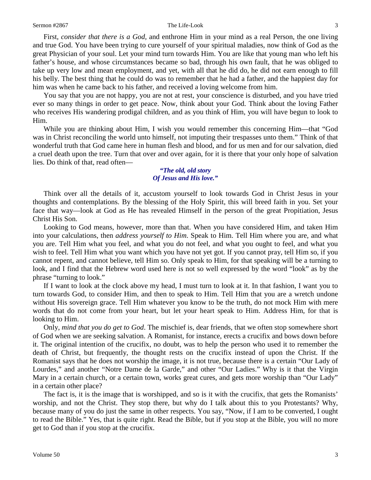First, *consider that there is a God,* and enthrone Him in your mind as a real Person, the one living and true God. You have been trying to cure yourself of your spiritual maladies, now think of God as the great Physician of your soul. Let your mind turn towards Him. You are like that young man who left his father's house, and whose circumstances became so bad, through his own fault, that he was obliged to take up very low and mean employment, and yet, with all that he did do, he did not earn enough to fill his belly. The best thing that he could do was to remember that he had a father, and the happiest day for him was when he came back to his father, and received a loving welcome from him.

You say that you are not happy, you are not at rest, your conscience is disturbed, and you have tried ever so many things in order to get peace. Now, think about your God. Think about the loving Father who receives His wandering prodigal children, and as you think of Him, you will have begun to look to Him.

While you are thinking about Him, I wish you would remember this concerning Him—that "God was in Christ reconciling the world unto himself, not imputing their trespasses unto them." Think of that wonderful truth that God came here in human flesh and blood, and for us men and for our salvation, died a cruel death upon the tree. Turn that over and over again, for it is there that your only hope of salvation lies. Do think of that, read often—

## *"The old, old story Of Jesus and His love."*

Think over all the details of it, accustom yourself to look towards God in Christ Jesus in your thoughts and contemplations. By the blessing of the Holy Spirit, this will breed faith in you. Set your face that way—look at God as He has revealed Himself in the person of the great Propitiation, Jesus Christ His Son.

Looking to God means, however, more than that. When you have considered Him, and taken Him into your calculations, then *address yourself to Him*. Speak to Him. Tell Him where you are, and what you are. Tell Him what you feel, and what you do not feel, and what you ought to feel, and what you wish to feel. Tell Him what you want which you have not yet got. If you cannot pray, tell Him so, if you cannot repent, and cannot believe, tell Him so. Only speak to Him, for that speaking will be a turning to look, and I find that the Hebrew word used here is not so well expressed by the word "look" as by the phrase "turning to look."

If I want to look at the clock above my head, I must turn to look at it. In that fashion, I want you to turn towards God, to consider Him, and then to speak to Him. Tell Him that you are a wretch undone without His sovereign grace. Tell Him whatever you know to be the truth, do not mock Him with mere words that do not come from your heart, but let your heart speak to Him. Address Him, for that is looking to Him.

Only, *mind that you do get to God*. The mischief is, dear friends, that we often stop somewhere short of God when we are seeking salvation. A Romanist, for instance, erects a crucifix and bows down before it. The original intention of the crucifix, no doubt, was to help the person who used it to remember the death of Christ, but frequently, the thought rests on the crucifix instead of upon the Christ. If the Romanist says that he does not worship the image, it is not true, because there is a certain "Our Lady of Lourdes," and another "Notre Dame de la Garde," and other "Our Ladies." Why is it that the Virgin Mary in a certain church, or a certain town, works great cures, and gets more worship than "Our Lady" in a certain other place?

The fact is, it is the image that is worshipped, and so is it with the crucifix, that gets the Romanists' worship, and not the Christ. They stop there, but why do I talk about this to you Protestants? Why, because many of you do just the same in other respects. You say, "Now, if I am to be converted, I ought to read the Bible." Yes, that is quite right. Read the Bible, but if you stop at the Bible, you will no more get to God than if you stop at the crucifix.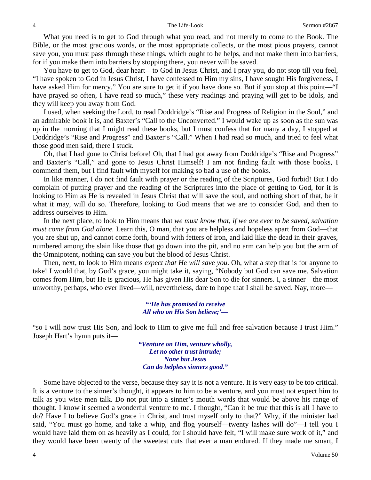What you need is to get to God through what you read, and not merely to come to the Book. The Bible, or the most gracious words, or the most appropriate collects, or the most pious prayers, cannot save you, you must pass through these things, which ought to be helps, and not make them into barriers, for if you make them into barriers by stopping there, you never will be saved.

You have to get to God, dear heart—to God in Jesus Christ, and I pray you, do not stop till you feel, "I have spoken to God in Jesus Christ, I have confessed to Him my sins, I have sought His forgiveness, I have asked Him for mercy." You are sure to get it if you have done so. But if you stop at this point—"I have prayed so often, I have read so much," these very readings and praying will get to be idols, and they will keep you away from God.

I used, when seeking the Lord, to read Doddridge's "Rise and Progress of Religion in the Soul," and an admirable book it is, and Baxter's "Call to the Unconverted." I would wake up as soon as the sun was up in the morning that I might read these books, but I must confess that for many a day, I stopped at Doddridge's "Rise and Progress" and Baxter's "Call." When I had read so much, and tried to feel what those good men said, there I stuck.

Oh, that I had gone to Christ before! Oh, that I had got away from Doddridge's "Rise and Progress" and Baxter's "Call," and gone to Jesus Christ Himself! I am not finding fault with those books, I commend them, but I find fault with myself for making so bad a use of the books.

In like manner, I do not find fault with prayer or the reading of the Scriptures, God forbid! But I do complain of putting prayer and the reading of the Scriptures into the place of getting to God, for it is looking to Him as He is revealed in Jesus Christ that will save the soul, and nothing short of that, be it what it may, will do so. Therefore, looking to God means that we are to consider God, and then to address ourselves to Him.

In the next place, to look to Him means that *we must know that, if we are ever to be saved, salvation must come from God alone.* Learn this, O man, that you are helpless and hopeless apart from God—that you are shut up, and cannot come forth, bound with fetters of iron, and laid like the dead in their graves, numbered among the slain like those that go down into the pit, and no arm can help you but the arm of the Omnipotent, nothing can save you but the blood of Jesus Christ.

Then, next, to look to Him means *expect that He will save you*. Oh, what a step that is for anyone to take! I would that, by God's grace, you might take it, saying, "Nobody but God can save me. Salvation comes from Him, but He is gracious, He has given His dear Son to die for sinners. I, a sinner—the most unworthy, perhaps, who ever lived—will, nevertheless, dare to hope that I shall be saved. Nay, more—

> *"'He has promised to receive All who on His Son believe;'—*

"so I will now trust His Son, and look to Him to give me full and free salvation because I trust Him." Joseph Hart's hymn puts it—

> *"Venture on Him, venture wholly, Let no other trust intrude; None but Jesus Can do helpless sinners good."*

Some have objected to the verse, because they say it is not a venture. It is very easy to be too critical. It is a venture to the sinner's thought, it appears to him to be a venture, and you must not expect him to talk as you wise men talk. Do not put into a sinner's mouth words that would be above his range of thought. I know it seemed a wonderful venture to me. I thought, "Can it be true that this is all I have to do? Have I to believe God's grace in Christ, and trust myself only to that?" Why, if the minister had said, "You must go home, and take a whip, and flog yourself—twenty lashes will do"—I tell you I would have laid them on as heavily as I could, for I should have felt, "I will make sure work of it," and they would have been twenty of the sweetest cuts that ever a man endured. If they made me smart, I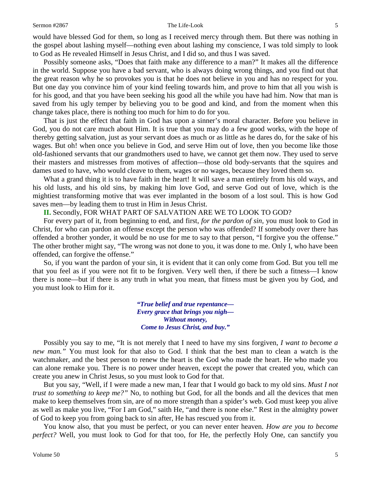#### Sermon #2867 The Life-Look 5

would have blessed God for them, so long as I received mercy through them. But there was nothing in the gospel about lashing myself—nothing even about lashing my conscience, I was told simply to look to God as He revealed Himself in Jesus Christ, and I did so, and thus I was saved.

Possibly someone asks, "Does that faith make any difference to a man?" It makes all the difference in the world. Suppose you have a bad servant, who is always doing wrong things, and you find out that the great reason why he so provokes you is that he does not believe in you and has no respect for you. But one day you convince him of your kind feeling towards him, and prove to him that all you wish is for his good, and that you have been seeking his good all the while you have had him. Now that man is saved from his ugly temper by believing you to be good and kind, and from the moment when this change takes place, there is nothing too much for him to do for you.

That is just the effect that faith in God has upon a sinner's moral character. Before you believe in God, you do not care much about Him. It is true that you may do a few good works, with the hope of thereby getting salvation, just as your servant does as much or as little as he dares do, for the sake of his wages. But oh! when once you believe in God, and serve Him out of love, then you become like those old-fashioned servants that our grandmothers used to have, we cannot get them now. They used to serve their masters and mistresses from motives of affection—those old body-servants that the squires and dames used to have, who would cleave to them, wages or no wages, because they loved them so.

What a grand thing it is to have faith in the heart! It will save a man entirely from his old ways, and his old lusts, and his old sins, by making him love God, and serve God out of love, which is the mightiest transforming motive that was ever implanted in the bosom of a lost soul. This is how God saves men—by leading them to trust in Him in Jesus Christ.

**II.** Secondly, FOR WHAT PART OF SALVATION ARE WE TO LOOK TO GOD?

For every part of it, from beginning to end, and first, *for the pardon of sin,* you must look to God in Christ, for who can pardon an offense except the person who was offended? If somebody over there has offended a brother yonder, it would be no use for me to say to that person, "I forgive you the offense." The other brother might say, "The wrong was not done to you, it was done to me. Only I, who have been offended, can forgive the offense."

So, if you want the pardon of your sin, it is evident that it can only come from God. But you tell me that you feel as if you were not fit to be forgiven. Very well then, if there be such a fitness—I know there is none—but if there is any truth in what you mean, that fitness must be given you by God, and you must look to Him for it.

> *"True belief and true repentance— Every grace that brings you nigh— Without money, Come to Jesus Christ, and buy."*

Possibly you say to me, "It is not merely that I need to have my sins forgiven, *I want to become a new man."* You must look for that also to God. I think that the best man to clean a watch is the watchmaker, and the best person to renew the heart is the God who made the heart. He who made you can alone remake you. There is no power under heaven, except the power that created you, which can create you anew in Christ Jesus, so you must look to God for that.

But you say, "Well, if I were made a new man, I fear that I would go back to my old sins. *Must I not trust to something to keep me?"* No, to nothing but God, for all the bonds and all the devices that men make to keep themselves from sin, are of no more strength than a spider's web. God must keep you alive as well as make you live, "For I am God," saith He, "and there is none else." Rest in the almighty power of God to keep you from going back to sin after, He has rescued you from it.

You know also, that you must be perfect, or you can never enter heaven. *How are you to become perfect?* Well, you must look to God for that too, for He, the perfectly Holy One, can sanctify you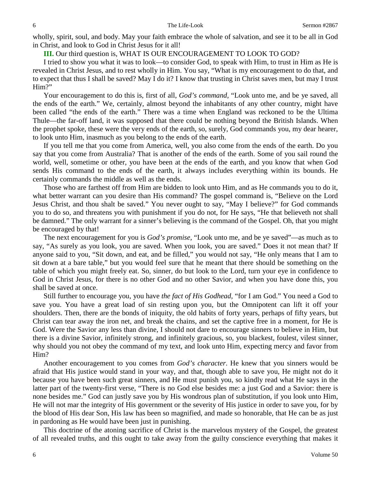wholly, spirit, soul, and body. May your faith embrace the whole of salvation, and see it to be all in God in Christ, and look to God in Christ Jesus for it all!

**III.** Our third question is, WHAT IS OUR ENCOURAGEMENT TO LOOK TO GOD?

I tried to show you what it was to look—to consider God, to speak with Him, to trust in Him as He is revealed in Christ Jesus, and to rest wholly in Him. You say, "What is my encouragement to do that, and to expect that thus I shall be saved? May I do it? I know that trusting in Christ saves men, but may I trust Him?"

Your encouragement to do this is, first of all, *God's command,* "Look unto me, and be ye saved, all the ends of the earth." We, certainly, almost beyond the inhabitants of any other country, might have been called "the ends of the earth." There was a time when England was reckoned to be the Ultima Thule—the far-off land, it was supposed that there could be nothing beyond the British Islands. When the prophet spoke, these were the very ends of the earth, so, surely, God commands you, my dear hearer, to look unto Him, inasmuch as you belong to the ends of the earth.

If you tell me that you come from America, well, you also come from the ends of the earth. Do you say that you come from Australia? That is another of the ends of the earth. Some of you sail round the world, well, sometime or other, you have been at the ends of the earth, and you know that when God sends His command to the ends of the earth, it always includes everything within its bounds. He certainly commands the middle as well as the ends.

Those who are farthest off from Him are bidden to look unto Him, and as He commands you to do it, what better warrant can you desire than His command? The gospel command is, "Believe on the Lord Jesus Christ, and thou shalt be saved." You never ought to say, "May I believe?" for God commands you to do so, and threatens you with punishment if you do not, for He says, "He that believeth not shall be damned." The only warrant for a sinner's believing is the command of the Gospel. Oh, that you might be encouraged by that!

The next encouragement for you is *God's promise,* "Look unto me, and be ye saved"—as much as to say, "As surely as you look, you are saved. When you look, you are saved." Does it not mean that? If anyone said to you, "Sit down, and eat, and be filled," you would not say, "He only means that I am to sit down at a bare table," but you would feel sure that he meant that there should be something on the table of which you might freely eat. So, sinner, do but look to the Lord, turn your eye in confidence to God in Christ Jesus, for there is no other God and no other Savior, and when you have done this, you shall be saved at once.

Still further to encourage you, you have *the fact of His Godhead,* "for I am God." You need a God to save you. You have a great load of sin resting upon you, but the Omnipotent can lift it off your shoulders. Then, there are the bonds of iniquity, the old habits of forty years, perhaps of fifty years, but Christ can tear away the iron net, and break the chains, and set the captive free in a moment, for He is God. Were the Savior any less than divine, I should not dare to encourage sinners to believe in Him, but there is a divine Savior, infinitely strong, and infinitely gracious, so, you blackest, foulest, vilest sinner, why should you not obey the command of my text, and look unto Him, expecting mercy and favor from Him?

Another encouragement to you comes from *God's character*. He knew that you sinners would be afraid that His justice would stand in your way, and that, though able to save you, He might not do it because you have been such great sinners, and He must punish you, so kindly read what He says in the latter part of the twenty-first verse, "There is no God else besides me: a just God and a Savior: there is none besides me." God can justly save you by His wondrous plan of substitution, if you look unto Him, He will not mar the integrity of His government or the severity of His justice in order to save you, for by the blood of His dear Son, His law has been so magnified, and made so honorable, that He can be as just in pardoning as He would have been just in punishing.

This doctrine of the atoning sacrifice of Christ is the marvelous mystery of the Gospel, the greatest of all revealed truths, and this ought to take away from the guilty conscience everything that makes it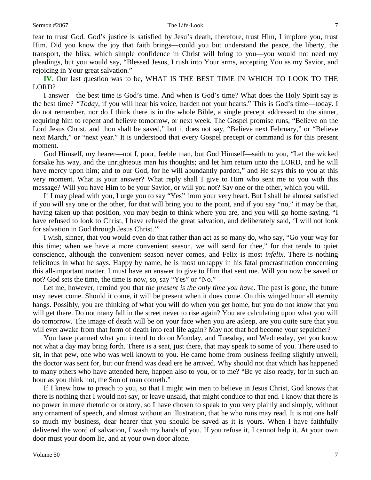#### Sermon #2867 The Life-Look 7

fear to trust God. God's justice is satisfied by Jesu's death, therefore, trust Him, I implore you, trust Him. Did you know the joy that faith brings—could you but understand the peace, the liberty, the transport, the bliss, which simple confidence in Christ will bring to you—you would not need my pleadings, but you would say, "Blessed Jesus, I rush into Your arms, accepting You as my Savior, and rejoicing in Your great salvation."

**IV.** Our last question was to be, WHAT IS THE BEST TIME IN WHICH TO LOOK TO THE LORD?

I answer—the best time is God's time. And when is God's time? What does the Holy Spirit say is the best time? *"Today,* if you will hear his voice, harden not your hearts." This is God's time—today. I do not remember, nor do I think there is in the whole Bible, a single precept addressed to the sinner, requiring him to repent and believe tomorrow, or next week. The Gospel promise runs, "Believe on the Lord Jesus Christ, and thou shalt be saved," but it does not say, "Believe next February," or "Believe next March," or "next year." It is understood that every Gospel precept or command is for this present moment.

God Himself, my hearer—not I, poor, feeble man, but God Himself—saith to you, "Let the wicked forsake his way, and the unrighteous man his thoughts; and let him return unto the LORD, and he will have mercy upon him; and to our God, for he will abundantly pardon," and He says this to you at this very moment. What is your answer? What reply shall I give to Him who sent me to you with this message? Will you have Him to be your Savior, or will you not? Say one or the other, which you will.

If I may plead with you, I urge you to say "Yes" from your very heart. But I shall be almost satisfied if you will say one or the other, for that will bring you to the point, and if you say "no," it may be that, having taken up that position, you may begin to think where you are, and you will go home saying, "I have refused to look to Christ, I have refused the great salvation, and deliberately said, 'I will not look for salvation in God through Jesus Christ.'"

I wish, sinner, that you would even do that rather than act as so many do, who say, "Go your way for this time; when we have a more convenient season, we will send for thee," for that tends to quiet conscience, although the convenient season never comes, and Felix is most *infelix*. There is nothing felicitous in what he says. Happy by name, he is most unhappy in his fatal procrastination concerning this all-important matter. I must have an answer to give to Him that sent me. Will you now be saved or not? God sets the time, the time is now, so, say "Yes" or "No."

Let me, however, remind you that *the present is the only time you have*. The past is gone, the future may never come. Should it come, it will be present when it does come. On this winged hour all eternity hangs. Possibly, you are thinking of what you will do when you get home, but you do not know that you will get there. Do not many fall in the street never to rise again? You are calculating upon what you will do tomorrow. The image of death will be on your face when you are asleep, are you quite sure that you will ever awake from that form of death into real life again? May not that bed become your sepulcher?

You have planned what you intend to do on Monday, and Tuesday, and Wednesday, yet you know not what a day may bring forth. There is a seat, just there, that may speak to some of you. There used to sit, in that pew, one who was well known to you. He came home from business feeling slightly unwell, the doctor was sent for, but our friend was dead ere he arrived. Why should not that which has happened to many others who have attended here, happen also to you, or to me? "Be ye also ready, for in such an hour as you think not, the Son of man cometh."

If I knew how to preach to you, so that I might win men to believe in Jesus Christ, God knows that there is nothing that I would not say, or leave unsaid, that might conduce to that end. I know that there is no power in mere rhetoric or oratory, so I have chosen to speak to you very plainly and simply, without any ornament of speech, and almost without an illustration, that he who runs may read. It is not one half so much my business, dear hearer that you should be saved as it is yours. When I have faithfully delivered the word of salvation, I wash my hands of you. If you refuse it, I cannot help it. At your own door must your doom lie, and at your own door alone.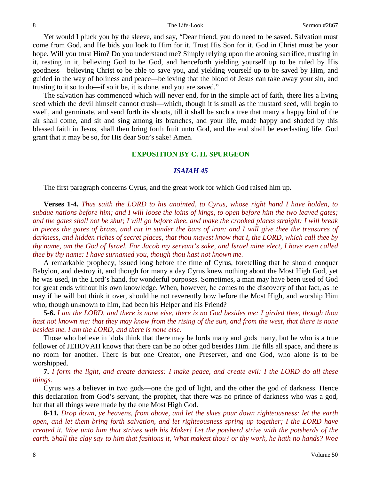Yet would I pluck you by the sleeve, and say, "Dear friend, you do need to be saved. Salvation must come from God, and He bids you look to Him for it. Trust His Son for it. God in Christ must be your hope. Will you trust Him? Do you understand me? Simply relying upon the atoning sacrifice, trusting in it, resting in it, believing God to be God, and henceforth yielding yourself up to be ruled by His goodness—believing Christ to be able to save you, and yielding yourself up to be saved by Him, and guided in the way of holiness and peace—believing that the blood of Jesus can take away your sin, and trusting to it so to do—if so it be, it is done, and you are saved."

The salvation has commenced which will never end, for in the simple act of faith, there lies a living seed which the devil himself cannot crush—which, though it is small as the mustard seed, will begin to swell, and germinate, and send forth its shoots, till it shall be such a tree that many a happy bird of the air shall come, and sit and sing among its branches, and your life, made happy and shaded by this blessed faith in Jesus, shall then bring forth fruit unto God, and the end shall be everlasting life. God grant that it may be so, for His dear Son's sake! Amen.

### **EXPOSITION BY C. H. SPURGEON**

### *ISAIAH 45*

The first paragraph concerns Cyrus, and the great work for which God raised him up.

**Verses 1-4.** *Thus saith the LORD to his anointed, to Cyrus, whose right hand I have holden, to subdue nations before him; and I will loose the loins of kings, to open before him the two leaved gates; and the gates shall not be shut; I will go before thee, and make the crooked places straight: I will break in pieces the gates of brass, and cut in sunder the bars of iron: and I will give thee the treasures of darkness, and hidden riches of secret places, that thou mayest know that I, the LORD, which call thee by thy name, am the God of Israel. For Jacob my servant's sake, and Israel mine elect, I have even called thee by thy name: I have surnamed you, though thou hast not known me.*

A remarkable prophecy, issued long before the time of Cyrus, foretelling that he should conquer Babylon, and destroy it, and though for many a day Cyrus knew nothing about the Most High God, yet he was used, in the Lord's hand, for wonderful purposes. Sometimes, a man may have been used of God for great ends without his own knowledge. When, however, he comes to the discovery of that fact, as he may if he will but think it over, should he not reverently bow before the Most High, and worship Him who, though unknown to him, had been his Helper and his Friend?

**5-6.** *I am the LORD, and there is none else, there is no God besides me: I girded thee, though thou hast not known me: that they may know from the rising of the sun, and from the west, that there is none besides me. I am the LORD, and there is none else.*

Those who believe in idols think that there may be lords many and gods many, but he who is a true follower of JEHOVAH knows that there can be no other god besides Him. He fills all space, and there is no room for another. There is but one Creator, one Preserver, and one God, who alone is to be worshipped.

**7.** *I form the light, and create darkness: I make peace, and create evil: I the LORD do all these things.*

Cyrus was a believer in two gods—one the god of light, and the other the god of darkness. Hence this declaration from God's servant, the prophet, that there was no prince of darkness who was a god, but that all things were made by the one Most High God.

**8-11.** *Drop down, ye heavens, from above, and let the skies pour down righteousness: let the earth open, and let them bring forth salvation, and let righteousness spring up together; I the LORD have created it. Woe unto him that strives with his Maker! Let the potsherd strive with the potsherds of the earth. Shall the clay say to him that fashions it, What makest thou? or thy work, he hath no hands? Woe*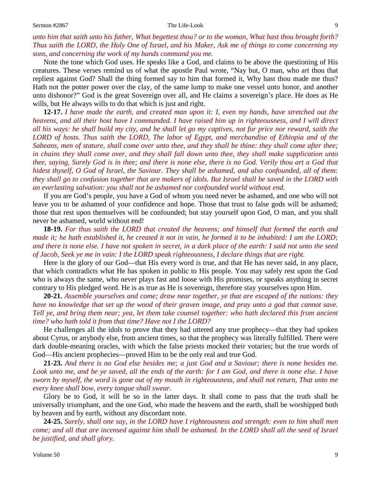*unto him that saith unto his father, What begettest thou? or to the woman, What hast thou brought forth? Thus saith the LORD, the Holy One of Israel, and his Maker, Ask me of things to come concerning my sons, and concerning the work of my hands command you me.*

Note the tone which God uses. He speaks like a God, and claims to be above the questioning of His creatures. These verses remind us of what the apostle Paul wrote, "Nay but, O man, who art thou that repliest against God? Shall the thing formed say to him that formed it, Why hast thou made me thus? Hath not the potter power over the clay, of the same lump to make one vessel unto honor, and another unto dishonor?" God is the great Sovereign over all, and He claims a sovereign's place. He does as He wills, but He always wills to do that which is just and right.

**12-17.** *I have made the earth, and created man upon it: I, even my hands, have stretched out the heavens, and all their host have I commanded. I have raised him up in righteousness, and I will direct all his ways: he shall build my city, and he shall let go my captives, not for price nor reward, saith the LORD of hosts. Thus saith the LORD, The labor of Egypt, and merchandise of Ethiopia and of the Sabeans, men of stature, shall come over unto thee, and they shall be thine: they shall come after thee; in chains they shall come over, and they shall fall down unto thee, they shall make supplication unto thee, saying, Surely God is in thee; and there is none else, there is no God. Verily thou art a God that hidest thyself, O God of Israel, the Saviour. They shall be ashamed, and also confounded, all of them: they shall go to confusion together that are makers of idols. But Israel shall be saved in the LORD with an everlasting salvation: you shall not be ashamed nor confounded world without end.*

If you are God's people, you have a God of whom you need never be ashamed, and one who will not leave you to be ashamed of your confidence and hope. Those that trust to false gods will be ashamed; those that rest upon themselves will be confounded; but stay yourself upon God, O man, and you shall never be ashamed, world without end!

**18-19.** *For thus saith the LORD that created the heavens; and himself that formed the earth and made it; he hath established it, he created it not in vain, he formed it to be inhabited: I am the LORD; and there is none else. I have not spoken in secret, in a dark place of the earth: I said not unto the seed of Jacob, Seek ye me in vain: I the LORD speak righteousness, I declare things that are right.*

Here is the glory of our God—that His every word is true, and that He has never said, in any place, that which contradicts what He has spoken in public to His people. You may safely rest upon the God who is always the same, who never plays fast and loose with His promises, or speaks anything in secret contrary to His pledged word. He is as true as He is sovereign, therefore stay yourselves upon Him.

**20-21.** *Assemble yourselves and come; draw near together, ye that are escaped of the nations: they have no knowledge that set up the wood of their graven image, and pray unto a god that cannot save. Tell ye, and bring them near; yea, let them take counsel together: who hath declared this from ancient time? who hath told it from that time? Have not I the LORD?*

He challenges all the idols to prove that they had uttered any true prophecy—that they had spoken about Cyrus, or anybody else, from ancient times, so that the prophecy was literally fulfilled. There were dark double-meaning oracles, with which the false priests mocked their votaries; but the true words of God—His ancient prophecies—proved Him to be the only real and true God.

**21-23.** *And there is no God else besides me; a just God and a Saviour; there is none besides me. Look unto me, and be ye saved, all the ends of the earth: for I am God, and there is none else. I have sworn by myself, the word is gone out of my mouth in righteousness, and shall not return, That unto me every knee shall bow, every tongue shall swear.*

Glory be to God, it will be so in the latter days. It shall come to pass that the truth shall be universally triumphant, and the one God, who made the heavens and the earth, shall be worshipped both by heaven and by earth, without any discordant note.

**24-25.** *Surely, shall one say, in the LORD have I righteousness and strength: even to him shall men come; and all that are incensed against him shall be ashamed. In the LORD shall all the seed of Israel be justified, and shall glory.*